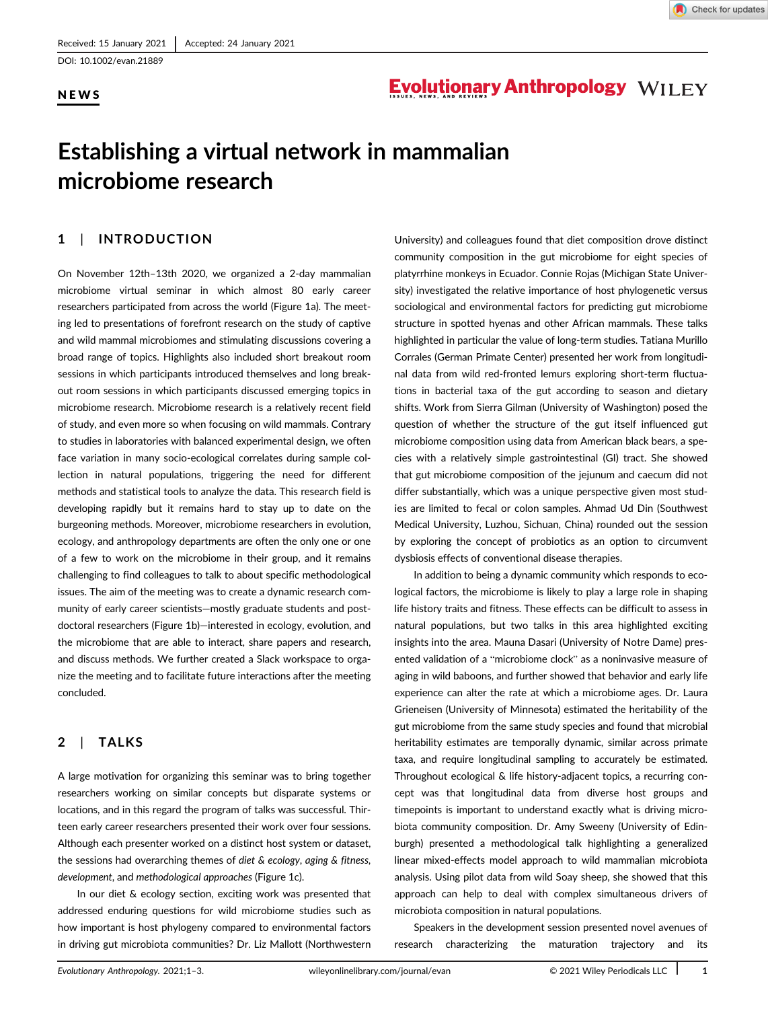DOI: 10.1002/evan.21889

### NEWS

## **Evolutionary Anthropology WILEY**

# Establishing a virtual network in mammalian microbiome research

## 1 | INTRODUCTION

On November 12th–13th 2020, we organized a 2-day mammalian microbiome virtual seminar in which almost 80 early career researchers participated from across the world (Figure 1a). The meeting led to presentations of forefront research on the study of captive and wild mammal microbiomes and stimulating discussions covering a broad range of topics. Highlights also included short breakout room sessions in which participants introduced themselves and long breakout room sessions in which participants discussed emerging topics in microbiome research. Microbiome research is a relatively recent field of study, and even more so when focusing on wild mammals. Contrary to studies in laboratories with balanced experimental design, we often face variation in many socio-ecological correlates during sample collection in natural populations, triggering the need for different methods and statistical tools to analyze the data. This research field is developing rapidly but it remains hard to stay up to date on the burgeoning methods. Moreover, microbiome researchers in evolution, ecology, and anthropology departments are often the only one or one of a few to work on the microbiome in their group, and it remains challenging to find colleagues to talk to about specific methodological issues. The aim of the meeting was to create a dynamic research community of early career scientists—mostly graduate students and postdoctoral researchers (Figure 1b)—interested in ecology, evolution, and the microbiome that are able to interact, share papers and research, and discuss methods. We further created a Slack workspace to organize the meeting and to facilitate future interactions after the meeting concluded.

## 2 | TALKS

A large motivation for organizing this seminar was to bring together researchers working on similar concepts but disparate systems or locations, and in this regard the program of talks was successful. Thirteen early career researchers presented their work over four sessions. Although each presenter worked on a distinct host system or dataset, the sessions had overarching themes of diet & ecology, aging & fitness, development, and methodological approaches (Figure 1c).

In our diet & ecology section, exciting work was presented that addressed enduring questions for wild microbiome studies such as how important is host phylogeny compared to environmental factors in driving gut microbiota communities? Dr. Liz Mallott (Northwestern

University) and colleagues found that diet composition drove distinct community composition in the gut microbiome for eight species of platyrrhine monkeys in Ecuador. Connie Rojas (Michigan State University) investigated the relative importance of host phylogenetic versus sociological and environmental factors for predicting gut microbiome structure in spotted hyenas and other African mammals. These talks highlighted in particular the value of long-term studies. Tatiana Murillo Corrales (German Primate Center) presented her work from longitudinal data from wild red-fronted lemurs exploring short-term fluctuations in bacterial taxa of the gut according to season and dietary shifts. Work from Sierra Gilman (University of Washington) posed the question of whether the structure of the gut itself influenced gut microbiome composition using data from American black bears, a species with a relatively simple gastrointestinal (GI) tract. She showed that gut microbiome composition of the jejunum and caecum did not differ substantially, which was a unique perspective given most studies are limited to fecal or colon samples. Ahmad Ud Din (Southwest Medical University, Luzhou, Sichuan, China) rounded out the session by exploring the concept of probiotics as an option to circumvent dysbiosis effects of conventional disease therapies.

In addition to being a dynamic community which responds to ecological factors, the microbiome is likely to play a large role in shaping life history traits and fitness. These effects can be difficult to assess in natural populations, but two talks in this area highlighted exciting insights into the area. Mauna Dasari (University of Notre Dame) presented validation of a "microbiome clock" as a noninvasive measure of aging in wild baboons, and further showed that behavior and early life experience can alter the rate at which a microbiome ages. Dr. Laura Grieneisen (University of Minnesota) estimated the heritability of the gut microbiome from the same study species and found that microbial heritability estimates are temporally dynamic, similar across primate taxa, and require longitudinal sampling to accurately be estimated. Throughout ecological & life history-adjacent topics, a recurring concept was that longitudinal data from diverse host groups and timepoints is important to understand exactly what is driving microbiota community composition. Dr. Amy Sweeny (University of Edinburgh) presented a methodological talk highlighting a generalized linear mixed-effects model approach to wild mammalian microbiota analysis. Using pilot data from wild Soay sheep, she showed that this approach can help to deal with complex simultaneous drivers of microbiota composition in natural populations.

Speakers in the development session presented novel avenues of research characterizing the maturation trajectory and its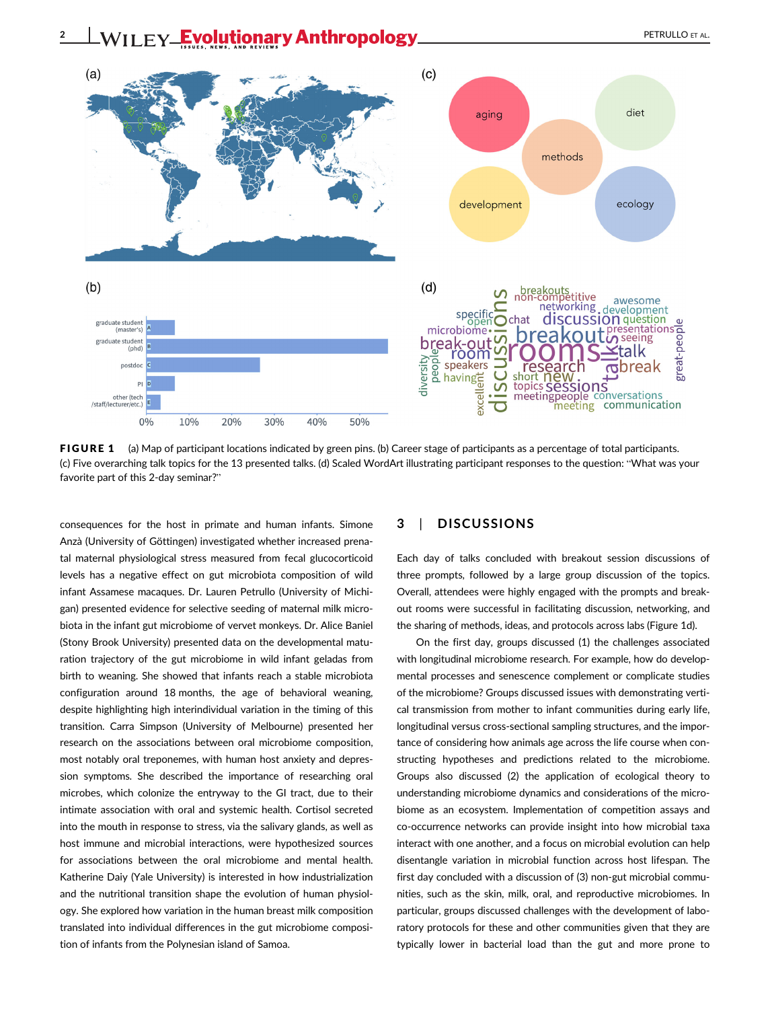

FIGURE 1 (a) Map of participant locations indicated by green pins. (b) Career stage of participants as a percentage of total participants. (c) Five overarching talk topics for the 13 presented talks. (d) Scaled WordArt illustrating participant responses to the question: "What was your favorite part of this 2-day seminar?"

consequences for the host in primate and human infants. Simone Anzà (University of Göttingen) investigated whether increased prenatal maternal physiological stress measured from fecal glucocorticoid levels has a negative effect on gut microbiota composition of wild infant Assamese macaques. Dr. Lauren Petrullo (University of Michigan) presented evidence for selective seeding of maternal milk microbiota in the infant gut microbiome of vervet monkeys. Dr. Alice Baniel (Stony Brook University) presented data on the developmental maturation trajectory of the gut microbiome in wild infant geladas from birth to weaning. She showed that infants reach a stable microbiota configuration around 18 months, the age of behavioral weaning, despite highlighting high interindividual variation in the timing of this transition. Carra Simpson (University of Melbourne) presented her research on the associations between oral microbiome composition, most notably oral treponemes, with human host anxiety and depression symptoms. She described the importance of researching oral microbes, which colonize the entryway to the GI tract, due to their intimate association with oral and systemic health. Cortisol secreted into the mouth in response to stress, via the salivary glands, as well as host immune and microbial interactions, were hypothesized sources for associations between the oral microbiome and mental health. Katherine Daiy (Yale University) is interested in how industrialization and the nutritional transition shape the evolution of human physiology. She explored how variation in the human breast milk composition translated into individual differences in the gut microbiome composition of infants from the Polynesian island of Samoa.

### 3 | DISCUSSIONS

Each day of talks concluded with breakout session discussions of three prompts, followed by a large group discussion of the topics. Overall, attendees were highly engaged with the prompts and breakout rooms were successful in facilitating discussion, networking, and the sharing of methods, ideas, and protocols across labs (Figure 1d).

On the first day, groups discussed (1) the challenges associated with longitudinal microbiome research. For example, how do developmental processes and senescence complement or complicate studies of the microbiome? Groups discussed issues with demonstrating vertical transmission from mother to infant communities during early life, longitudinal versus cross-sectional sampling structures, and the importance of considering how animals age across the life course when constructing hypotheses and predictions related to the microbiome. Groups also discussed (2) the application of ecological theory to understanding microbiome dynamics and considerations of the microbiome as an ecosystem. Implementation of competition assays and co-occurrence networks can provide insight into how microbial taxa interact with one another, and a focus on microbial evolution can help disentangle variation in microbial function across host lifespan. The first day concluded with a discussion of (3) non-gut microbial communities, such as the skin, milk, oral, and reproductive microbiomes. In particular, groups discussed challenges with the development of laboratory protocols for these and other communities given that they are typically lower in bacterial load than the gut and more prone to